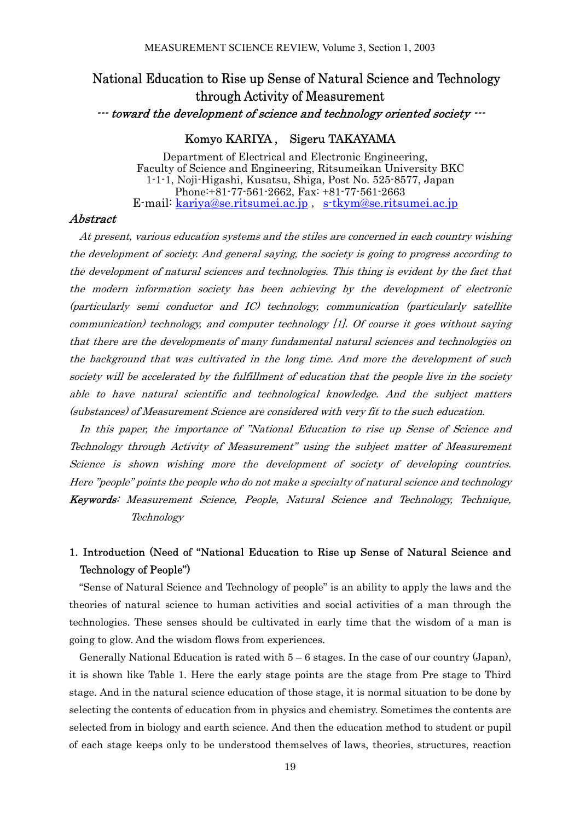# National Education to Rise up Sense of Natural Science and Technology through Activity of Measurement

--- toward the development of science and technology oriented society ---

### Komyo KARIYA , Sigeru TAKAYAMA

Department of Electrical and Electronic Engineering, Faculty of Science and Engineering, Ritsumeikan University BKC 1-1-1, Noji-Higashi, Kusatsu, Shiga, Post No. 525-8577, Japan Phone:+81-77-561-2662, Fax: +81-77-561-2663 E-mail: kariya@se.ritsumei.ac.jp , s-tkym@se.ritsumei.ac.jp

#### Abstract

At present, various education systems and the stiles are concerned in each country wishing the development of society. And general saying, the society is going to progress according to the development of natural sciences and technologies. This thing is evident by the fact that the modern information society has been achieving by the development of electronic (particularly semi conductor and IC) technology, communication (particularly satellite communication) technology, and computer technology [1]. Of course it goes without saying that there are the developments of many fundamental natural sciences and technologies on the background that was cultivated in the long time. And more the development of such society will be accelerated by the fulfillment of education that the people live in the society able to have natural scientific and technological knowledge. And the subject matters (substances) of Measurement Science are considered with very fit to the such education.

In this paper, the importance of "National Education to rise up Sense of Science and Technology through Activity of Measurement" using the subject matter of Measurement Science is shown wishing more the development of society of developing countries. Here "people" points the people who do not make a specialty of natural science and technology Keywords: Measurement Science, People, Natural Science and Technology, Technique, Technology

### 1. Introduction (Need of "National Education to Rise up Sense of Natural Science and Technology of People")

"Sense of Natural Science and Technology of people" is an ability to apply the laws and the theories of natural science to human activities and social activities of a man through the technologies. These senses should be cultivated in early time that the wisdom of a man is going to glow. And the wisdom flows from experiences.

Generally National Education is rated with  $5-6$  stages. In the case of our country (Japan), it is shown like Table 1. Here the early stage points are the stage from Pre stage to Third stage. And in the natural science education of those stage, it is normal situation to be done by selecting the contents of education from in physics and chemistry. Sometimes the contents are selected from in biology and earth science. And then the education method to student or pupil of each stage keeps only to be understood themselves of laws, theories, structures, reaction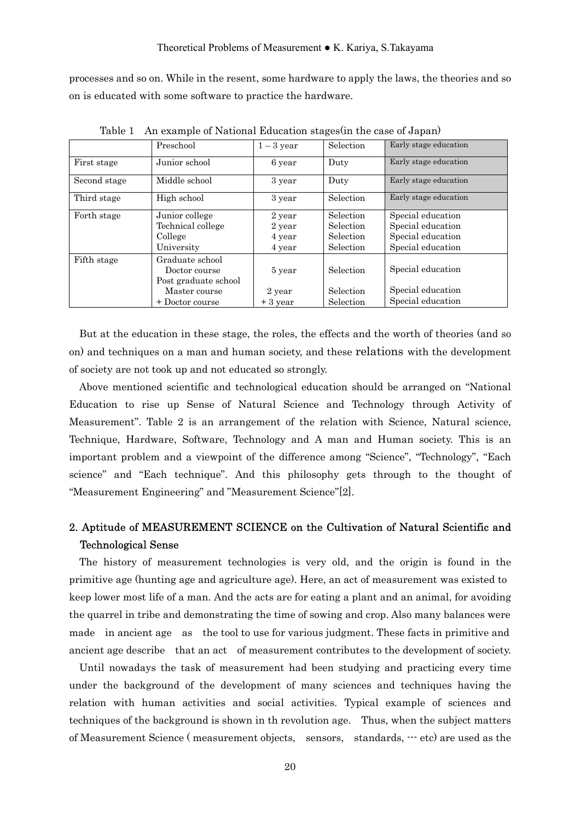processes and so on. While in the resent, some hardware to apply the laws, the theories and so on is educated with some software to practice the hardware.

|              | Preschool            | $1-3$ year | Selection | Early stage education |
|--------------|----------------------|------------|-----------|-----------------------|
| First stage  | Junior school        | 6 year     | Duty      | Early stage education |
| Second stage | Middle school        | 3 year     | Duty      | Early stage education |
| Third stage  | High school          | 3 year     | Selection | Early stage education |
| Forth stage  | Junior college       | 2 year     | Selection | Special education     |
|              | Technical college    | 2 year     | Selection | Special education     |
|              | College              | 4 year     | Selection | Special education     |
|              | University           | 4 year     | Selection | Special education     |
| Fifth stage  | Graduate school      |            |           |                       |
|              | Doctor course        | 5 year     | Selection | Special education     |
|              | Post graduate school |            |           |                       |
|              | Master course        | 2 year     | Selection | Special education     |
|              | + Doctor course      | $+3$ year  | Selection | Special education     |

Table 1 An example of National Education stages(in the case of Japan)

But at the education in these stage, the roles, the effects and the worth of theories (and so on) and techniques on a man and human society, and these relations with the development of society are not took up and not educated so strongly.

Above mentioned scientific and technological education should be arranged on "National Education to rise up Sense of Natural Science and Technology through Activity of Measurement". Table 2 is an arrangement of the relation with Science, Natural science, Technique, Hardware, Software, Technology and A man and Human society. This is an important problem and a viewpoint of the difference among "Science", "Technology", "Each science" and "Each technique". And this philosophy gets through to the thought of "Measurement Engineering" and "Measurement Science"[2].

## 2. Aptitude of MEASUREMENT SCIENCE on the Cultivation of Natural Scientific and Technological Sense

The history of measurement technologies is very old, and the origin is found in the primitive age (hunting age and agriculture age). Here, an act of measurement was existed to keep lower most life of a man. And the acts are for eating a plant and an animal, for avoiding the quarrel in tribe and demonstrating the time of sowing and crop. Also many balances were made in ancient age as the tool to use for various judgment. These facts in primitive and ancient age describe that an act of measurement contributes to the development of society.

Until nowadays the task of measurement had been studying and practicing every time under the background of the development of many sciences and techniques having the relation with human activities and social activities. Typical example of sciences and techniques of the background is shown in th revolution age. Thus, when the subject matters of Measurement Science ( measurement objects, sensors, standards, --- etc) are used as the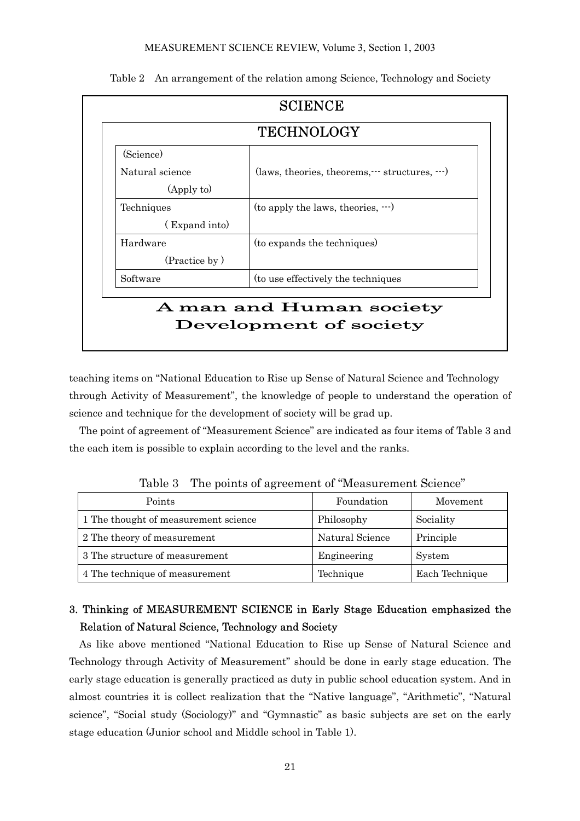#### MEASUREMENT SCIENCE REVIEW, Volume 3, Section 1, 2003

| <b>TECHNOLOGY</b> |                                                            |  |  |  |
|-------------------|------------------------------------------------------------|--|--|--|
| (Science)         |                                                            |  |  |  |
| Natural science   | (laws, theories, theorems, $\cdots$ structures, $\cdots$ ) |  |  |  |
| (Apply to)        |                                                            |  |  |  |
| Techniques        | $($ to apply the laws, theories, $\cdots)$                 |  |  |  |
| (Expand into)     |                                                            |  |  |  |
| Hardware          | (to expands the techniques)                                |  |  |  |
| (Practice by)     |                                                            |  |  |  |
| Software          | (to use effectively the techniques)                        |  |  |  |
|                   | A man and Human society                                    |  |  |  |

Table 2 An arrangement of the relation among Science, Technology and Society

teaching items on "National Education to Rise up Sense of Natural Science and Technology through Activity of Measurement", the knowledge of people to understand the operation of science and technique for the development of society will be grad up.

The point of agreement of "Measurement Science" are indicated as four items of Table 3 and the each item is possible to explain according to the level and the ranks.

| Points                               | Foundation      | Movement       |
|--------------------------------------|-----------------|----------------|
| 1 The thought of measurement science | Philosophy      | Sociality      |
| 2 The theory of measurement          | Natural Science | Principle      |
| 3 The structure of measurement       | Engineering     | System         |
| 4 The technique of measurement       | Technique       | Each Technique |

Table 3 The points of agreement of "Measurement Science"

## 3. Thinking of MEASUREMENT SCIENCE in Early Stage Education emphasized the Relation of Natural Science, Technology and Society

As like above mentioned "National Education to Rise up Sense of Natural Science and Technology through Activity of Measurement" should be done in early stage education. The early stage education is generally practiced as duty in public school education system. And in almost countries it is collect realization that the "Native language", "Arithmetic", "Natural science", "Social study (Sociology)" and "Gymnastic" as basic subjects are set on the early stage education (Junior school and Middle school in Table 1).